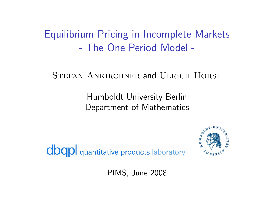Equilibrium Pricing in Incomplete Markets - The One Period Model -

#### STEFAN ANKIRCHNER and ULRICH HORST

Humboldt University Berlin Department of Mathematics

**dbqpl** quantitative products laboratory



PIMS, June 2008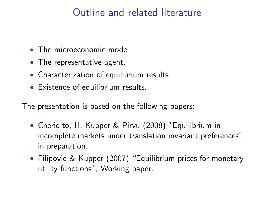# Outline and related literature

- The microeconomic model
- The representative agent.
- Characterization of equilibrium results.
- Existence of equilibrium results.

The presentation is based on the following papers:

- Cheridito, H, Kupper & Pirvu (2008) "Equilibrium in incomplete markets under translation invariant preferences", in preparation.
- Filipovic & Kupper (2007) "Equilibrium prices for monetary utility functions", Working paper.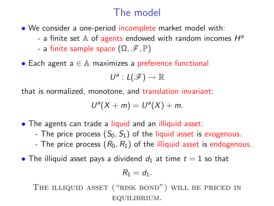# The model

- We consider a one-period incomplete market model with:
	- a finite set  $\mathbb A$  of agents endowed with random incomes  $H^a$
	- a finite sample space  $(Ω, ℑ, ℤ)$
- Each agent  $a \in A$  maximizes a preference functional

$$
U^a: L(\mathscr{F}) \to \mathbb{R}
$$

that is normalized, monotone, and translation invariant:

$$
U^{a}(X+m)=U^{a}(X)+m.
$$

- The agents can trade a liquid and an illiquid asset:
	- The price process  $(S_0, S_1)$  of the liquid asset is exogenous.
	- The price process  $(R_0, R_1)$  of the illiquid asset is endogenous.
- The illiquid asset pays a dividend  $d_1$  at time  $t = 1$  so that

$$
R_1=d_1.
$$

THE ILLIQUID ASSET ("RISK BOND") WILL BE PRICED IN equilibrium.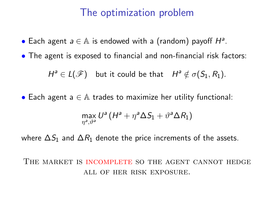## The optimization problem

• Each agent  $a \in A$  is endowed with a (random) payoff  $H^a$ .

• The agent is exposed to financial and non-financial risk factors:

 $H^a \in L(\mathscr{F})$  but it could be that  $H^a \notin \sigma(S_1, R_1)$ .

• Each agent  $a \in A$  trades to maximize her utility functional:

$$
\max_{\eta^{a},\vartheta^{a}}U^{a}\left(H^{a}+\eta^{a}\Delta S_{1}+\vartheta^{a}\Delta R_{1}\right)
$$

where  $\Delta S_1$  and  $\Delta R_1$  denote the price increments of the assets.

The market is incomplete so the agent cannot hedge all of her risk exposure.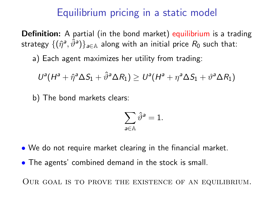## Equilibrium pricing in a static model

Definition: A partial (in the bond market) equilibrium is a trading strategy  $\{(\hat{\eta}^{\mathsf{a}},\hat{\vartheta}^{\mathsf{a}})\}_{\mathsf{a}\in\mathbb{A}}$  along with an initial price  $R_0$  such that:

a) Each agent maximizes her utility from trading:

$$
U^{a}(H^{a}+\hat{\eta}^{a}\Delta S_{1}+\hat{\vartheta}^{a}\Delta R_{1})\geq U^{a}(H^{a}+\eta^{a}\Delta S_{1}+\vartheta^{a}\Delta R_{1})
$$

b) The bond markets clears:

$$
\sum_{\mathsf{a}\in\mathbb{A}}\hat{\vartheta}^{\mathsf{a}}=1.
$$

- We do not require market clearing in the financial market.
- The agents' combined demand in the stock is small.

Our goal is to prove the existence of an equilibrium.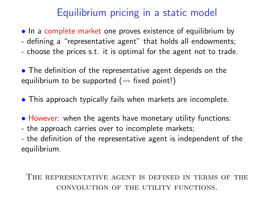# Equilibrium pricing in a static model

- In a complete market one proves existence of equilibrium by
- defining a "representative agent" that holds all endowments;
- choose the prices s.t. it is optimal for the agent not to trade.

• The definition of the representative agent depends on the equilibrium to be supported ( $\rightsquigarrow$  fixed point!)

- This approach typically fails when markets are incomplete.
- However: when the agents have monetary utility functions:
- the approach carries over to incomplete markets;
- the definition of the representative agent is independent of the equilibrium.

#### The representative agent is defined in terms of the convolution of the utility functions.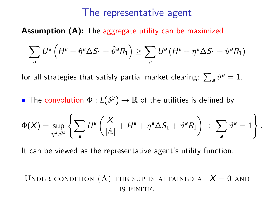### The representative agent

Assumption (A): The aggregate utility can be maximized:

$$
\sum_{a} U^{a} \left( H^{a} + \hat{\eta}^{a} \Delta S_{1} + \hat{\vartheta}^{a} R_{1} \right) \geq \sum_{a} U^{a} \left( H^{a} + \eta^{a} \Delta S_{1} + \vartheta^{a} R_{1} \right)
$$

for all strategies that satisfy partial market clearing:  $\sum_{\bm a} \vartheta^{\bm a} = 1.$ 

• The convolution  $\Phi: L(\mathscr{F}) \to \mathbb{R}$  of the utilities is defined by

$$
\Phi(X) = \sup_{\eta^a, \vartheta^a} \left\{ \sum_a U^a \left( \frac{X}{|\mathbb{A}|} + H^a + \eta^a \Delta S_1 + \vartheta^a R_1 \right) \; : \; \sum_a \vartheta^a = 1 \right\}.
$$

It can be viewed as the representative agent's utility function.

UNDER CONDITION (A) THE SUP IS ATTAINED AT  $X = 0$  and is finite.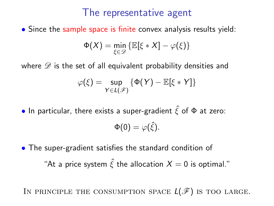### The representative agent

• Since the sample space is finite convex analysis results yield:

$$
\Phi(X) = \min_{\xi \in \mathcal{D}} \left\{ \mathbb{E}[\xi \ast X] - \varphi(\xi) \right\}
$$

where  $\mathscr D$  is the set of all equivalent probability densities and

$$
\varphi(\xi) = \sup_{Y \in L(\mathscr{F})} \left\{ \Phi(Y) - \mathbb{E}[\xi * Y] \right\}
$$

• In particular, there exists a super-gradient  $\hat{\xi}$  of  $\Phi$  at zero:

$$
\Phi(0)=\varphi(\hat{\xi}).
$$

• The super-gradient satisfies the standard condition of "At a price system  $\hat{\xi}$  the allocation  $X = 0$  is optimal."

IN PRINCIPLE THE CONSUMPTION SPACE  $L(\mathscr{F})$  is too large.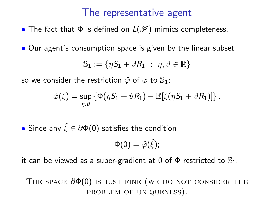### The representative agent

• The fact that  $\Phi$  is defined on  $L(\mathcal{F})$  mimics completeness.

• Our agent's consumption space is given by the linear subset

$$
\mathbb{S}_1 := \{\eta \mathcal{S}_1 + \vartheta \mathcal{R}_1 \ : \ \eta, \vartheta \in \mathbb{R}\}
$$

so we consider the restriction  $\hat{\varphi}$  of  $\varphi$  to  $\mathbb{S}_1$ :

$$
\hat{\varphi}(\xi) = \sup_{\eta,\vartheta} \left\{ \Phi(\eta S_1 + \vartheta R_1) - \mathbb{E}[\xi(\eta S_1 + \vartheta R_1)] \right\}.
$$

 $\bullet$  Since any  $\hat{\xi} \in \partial \Phi(0)$  satisfies the condition

$$
\Phi(0)=\hat{\varphi}(\hat{\xi});
$$

it can be viewed as a super-gradient at 0 of  $\Phi$  restricted to  $\mathbb{S}_1$ .

THE SPACE  $\partial \Phi(0)$  is just fine (we do not consider the problem of uniqueness).